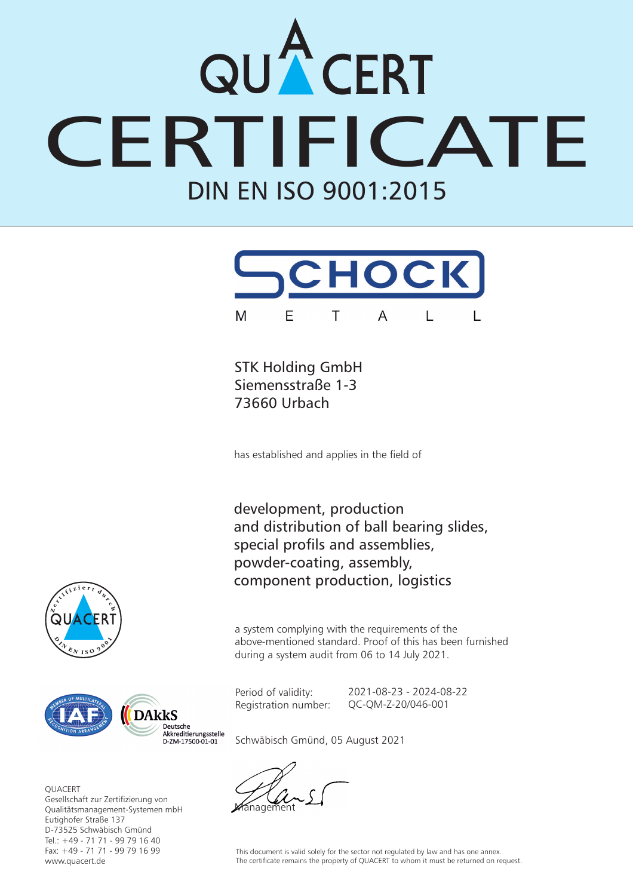## DIN EN ISO 9001:2015 CERT



STK Holding GmbH Siemensstraße 1-3 73660 Urbach

has established and applies in the field of

development, production and distribution of ball bearing slides, special profils and assemblies, powder-coating, assembly, component production, logistics

a system complying with the requirements of the above-mentioned standard. Proof of this has been furnished during a system audit from 06 to 14 July 2021.

Period of validity: Registration number: 2021-08-23 - 2024-08-22 QC-QM-Z-20/046-001





**OUACERT** Gesellschaft zur Zertifizierung von Qualitätsmanagement-Systemen mbH Eutighofer Straße 137 D-73525 Schwäbisch Gmünd Tel.: +49 - 71 71 - 99 79 16 40 Fax: +49 - 71 71 - 99 79 16 99 www.quacert.de

Schwäbisch Gmünd, 05 August 2021

nagement

This document is valid solely for the sector not regulated by law and has one annex. The certificate remains the property of QUACERT to whom it must be returned on request.